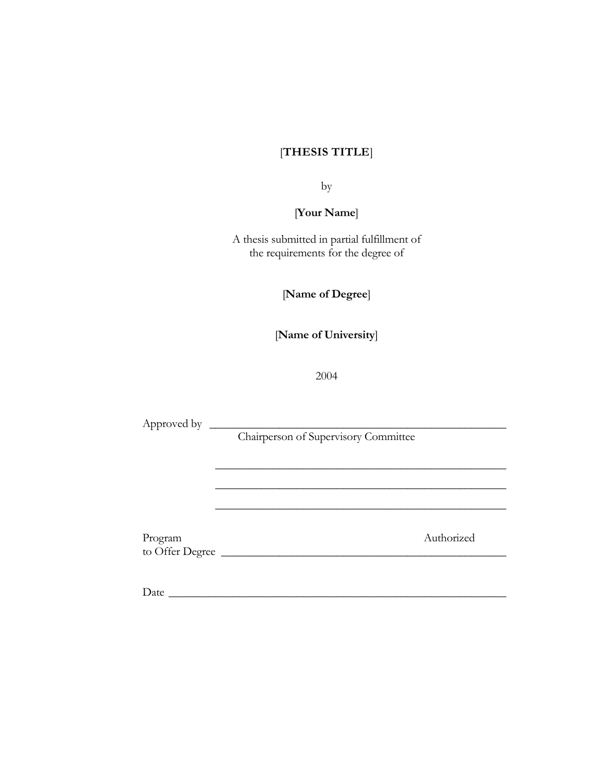# [**THESIS TITLE**]

by

[**Your Name**]

A thesis submitted in partial fulfillment of the requirements for the degree of

[**Name of Degree**]

[**Name of University**]

2004

Approved by \_\_\_\_\_\_\_\_\_\_\_\_\_\_\_\_\_\_\_\_\_\_\_\_\_\_\_\_\_\_\_\_\_\_\_\_\_\_\_\_\_\_\_\_\_\_\_\_\_\_\_

Chairperson of Supervisory Committee

\_\_\_\_\_\_\_\_\_\_\_\_\_\_\_\_\_\_\_\_\_\_\_\_\_\_\_\_\_\_\_\_\_\_\_\_\_\_\_\_\_\_\_\_\_\_\_\_\_\_

\_\_\_\_\_\_\_\_\_\_\_\_\_\_\_\_\_\_\_\_\_\_\_\_\_\_\_\_\_\_\_\_\_\_\_\_\_\_\_\_\_\_\_\_\_\_\_\_\_\_

\_\_\_\_\_\_\_\_\_\_\_\_\_\_\_\_\_\_\_\_\_\_\_\_\_\_\_\_\_\_\_\_\_\_\_\_\_\_\_\_\_\_\_\_\_\_\_\_\_\_

Program Authorized to Offer Degree

 $Date$   $\_$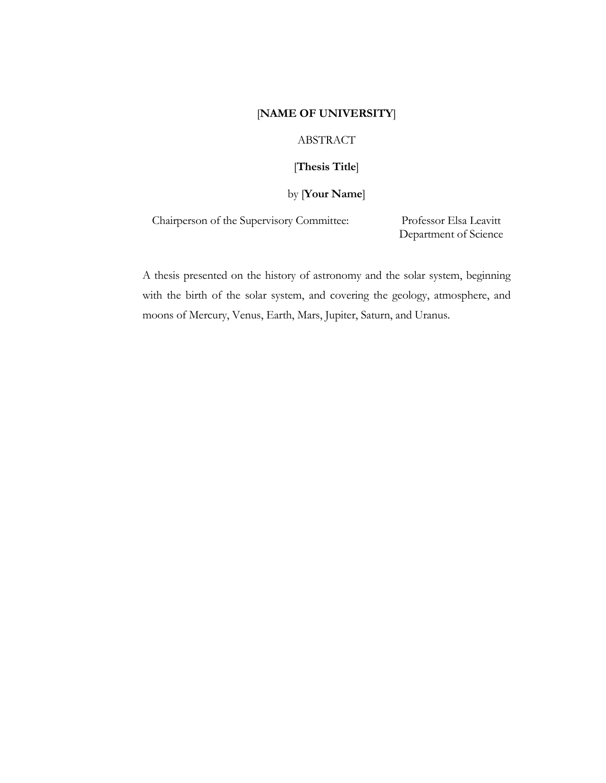# [**NAME OF UNIVERSITY**]

## ABSTRACT

# [**Thesis Title**]

## by [**Your Name**]

Chairperson of the Supervisory Committee: Professor Elsa Leavitt

Department of Science

A thesis presented on the history of astronomy and the solar system, beginning with the birth of the solar system, and covering the geology, atmosphere, and moons of Mercury, Venus, Earth, Mars, Jupiter, Saturn, and Uranus.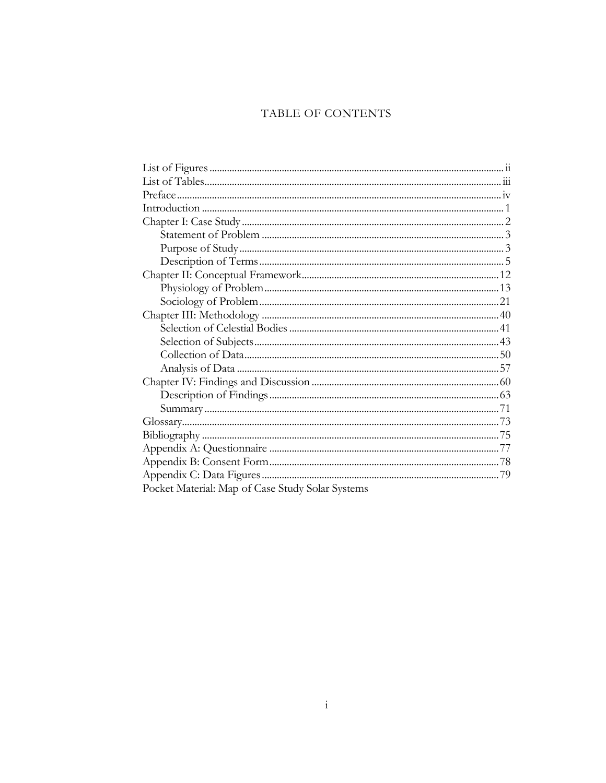# TABLE OF CONTENTS

| Pocket Material: Map of Case Study Solar Systems |  |
|--------------------------------------------------|--|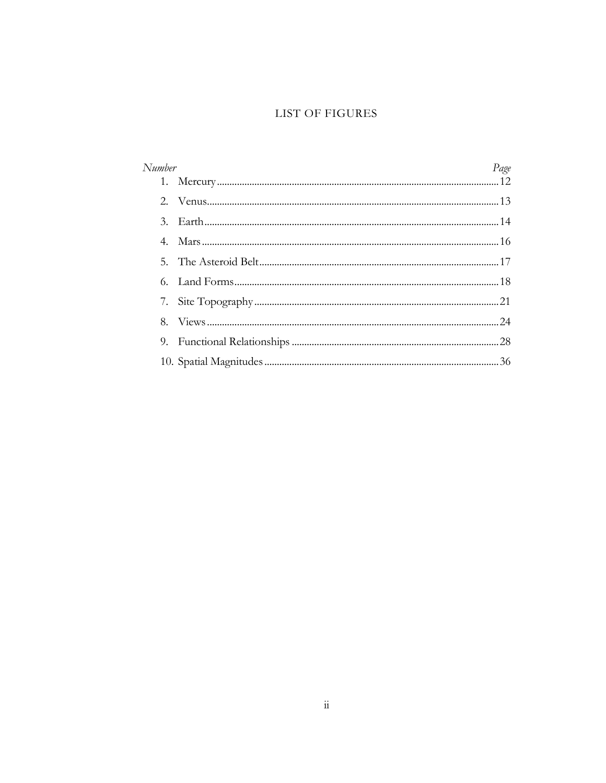## LIST OF FIGURES

| Number |  | Page |
|--------|--|------|
|        |  |      |
|        |  |      |
|        |  |      |
| 4.     |  |      |
|        |  |      |
|        |  |      |
|        |  |      |
|        |  |      |
| 9.     |  |      |
|        |  |      |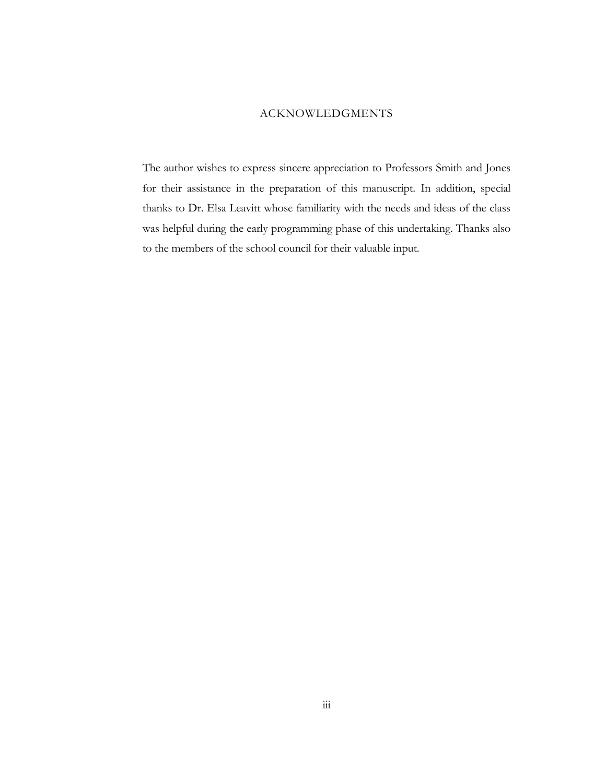### ACKNOWLEDGMENTS

The author wishes to express sincere appreciation to Professors Smith and Jones for their assistance in the preparation of this manuscript. In addition, special thanks to Dr. Elsa Leavitt whose familiarity with the needs and ideas of the class was helpful during the early programming phase of this undertaking. Thanks also to the members of the school council for their valuable input.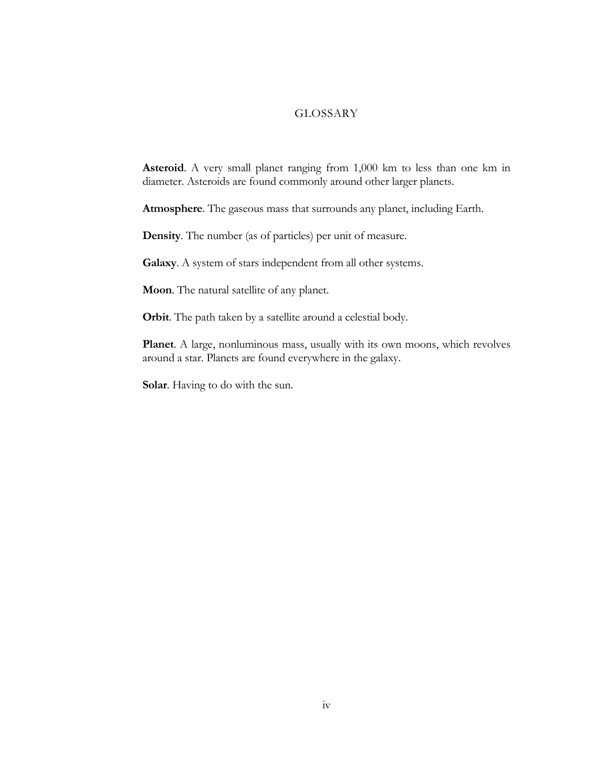### GLOSSARY

**Asteroid**. A very small planet ranging from 1,000 km to less than one km in diameter. Asteroids are found commonly around other larger planets.

**Atmosphere**. The gaseous mass that surrounds any planet, including Earth.

**Density**. The number (as of particles) per unit of measure.

**Galaxy**. A system of stars independent from all other systems.

**Moon**. The natural satellite of any planet.

**Orbit**. The path taken by a satellite around a celestial body.

**Planet**. A large, nonluminous mass, usually with its own moons, which revolves around a star. Planets are found everywhere in the galaxy.

**Solar**. Having to do with the sun.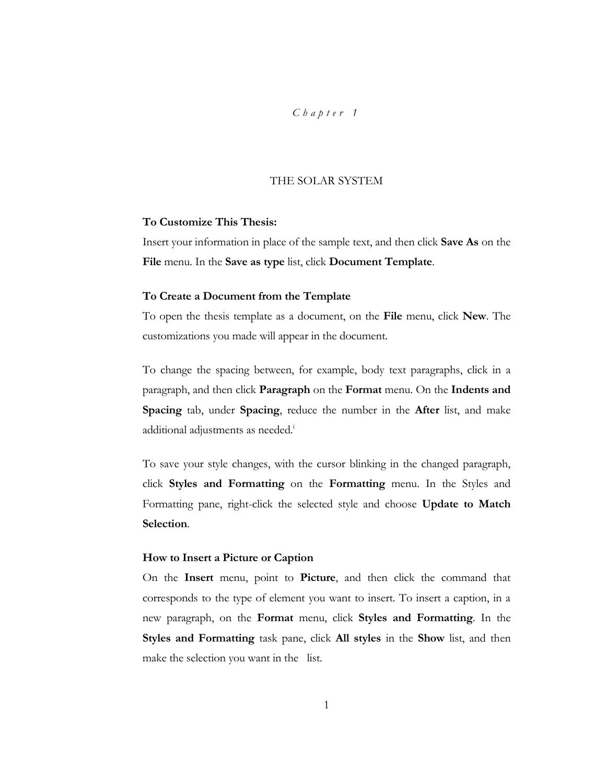# *C h a p t e r 1*

### THE SOLAR SYSTEM

## **To Customize This Thesis:**

Insert your information in place of the sample text, and then click **Save As** on the **File** menu. In the **Save as type** list, click **Document Template**.

#### **To Create a Document from the Template**

To open the thesis template as a document, on the **File** menu, click **New**. The customizations you made will appear in the document.

To change the spacing between, for example, body text paragraphs, click in a paragraph, and then click **Paragraph** on the **Format** menu. On the **Indents and Spacing** tab, under **Spacing**, reduce the number in the **After** list, and make additional adjustments as needed.<sup>i</sup>

To save your style changes, with the cursor blinking in the changed paragraph, click **Styles and Formatting** on the **Formatting** menu. In the Styles and Formatting pane, right-click the selected style and choose **Update to Match Selection**.

### **How to Insert a Picture or Caption**

On the **Insert** menu, point to **Picture**, and then click the command that corresponds to the type of element you want to insert. To insert a caption, in a new paragraph, on the **Format** menu, click **Styles and Formatting**. In the **Styles and Formatting** task pane, click **All styles** in the **Show** list, and then make the selection you want in the list.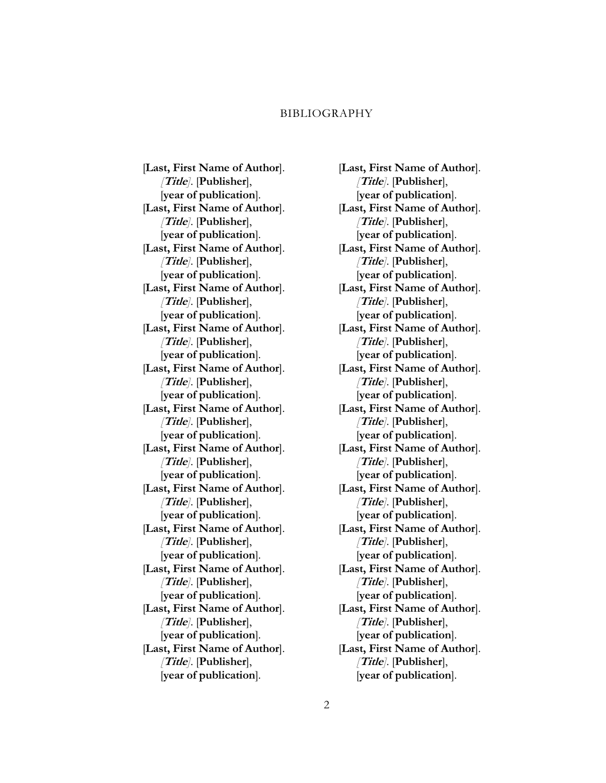#### BIBLIOGRAPHY

[**Last, First Name of Author**]. *[***Title***]*. [**Publisher**], [**year of publication**]. [**Last, First Name of Author**]. *[***Title***]*. [**Publisher**], [**year of publication**]. [**Last, First Name of Author**]. *[***Title***]*. [**Publisher**], [**year of publication**]. [**Last, First Name of Author**]. *[***Title***]*. [**Publisher**], [**year of publication**]. [**Last, First Name of Author**]. *[***Title***]*. [**Publisher**], [**year of publication**]. [**Last, First Name of Author**]. *[***Title***]*. [**Publisher**], [**year of publication**]. [**Last, First Name of Author**]. *[***Title***]*. [**Publisher**], [**year of publication**]. [**Last, First Name of Author**]. *[***Title***]*. [**Publisher**], [**year of publication**]. [**Last, First Name of Author**]. *[***Title***]*. [**Publisher**], [**year of publication**]. [**Last, First Name of Author**]. *[***Title***]*. [**Publisher**], [**year of publication**]. [**Last, First Name of Author**]. *[***Title***]*. [**Publisher**], [**year of publication**]. [**Last, First Name of Author**]. *[***Title***]*. [**Publisher**], [**year of publication**]. [**Last, First Name of Author**]. *[***Title***]*. [**Publisher**], [**year of publication**].

[**Last, First Name of Author**]. *[***Title***]*. [**Publisher**], [**year of publication**]. [**Last, First Name of Author**]. *[***Title***]*. [**Publisher**], [**year of publication**]. [**Last, First Name of Author**]. *[***Title***]*. [**Publisher**], [**year of publication**]. [**Last, First Name of Author**]. *[***Title***]*. [**Publisher**], [**year of publication**]. [**Last, First Name of Author**]. *[***Title***]*. [**Publisher**], [**year of publication**]. [**Last, First Name of Author**]. *[***Title***]*. [**Publisher**], [**year of publication**]. [**Last, First Name of Author**]. *[***Title***]*. [**Publisher**], [**year of publication**]. [**Last, First Name of Author**]. *[***Title***]*. [**Publisher**], [**year of publication**]. [**Last, First Name of Author**]. *[***Title***]*. [**Publisher**], [**year of publication**]. [**Last, First Name of Author**]. *[***Title***]*. [**Publisher**], [**year of publication**]. [**Last, First Name of Author**]. *[***Title***]*. [**Publisher**], [**year of publication**]. [**Last, First Name of Author**]. *[***Title***]*. [**Publisher**], [**year of publication**]. [**Last, First Name of Author**]. *[***Title***]*. [**Publisher**], [**year of publication**].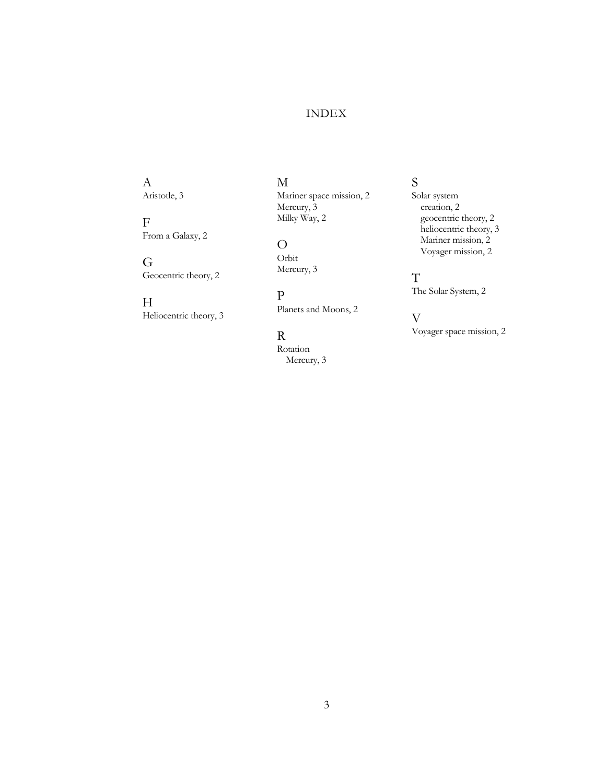## INDEX

A Aristotle, 3

 $\mathbf F$ From a Galaxy, 2

G Geocentric theory, 2

 $\boldsymbol{\mathrm{H}}$ Heliocentric theory, 3 M

Mariner space mission, 2 Mercury, 3 Milky Way, 2

O Orbit Mercury, 3

P Planets and Moons, 2

R

Rotation Mercury, 3 S

Solar system creation, 2 geocentric theory, 2 heliocentric theory, 3 Mariner mission, 2 Voyager mission, 2

T The Solar System, 2

V

Voyager space mission, 2